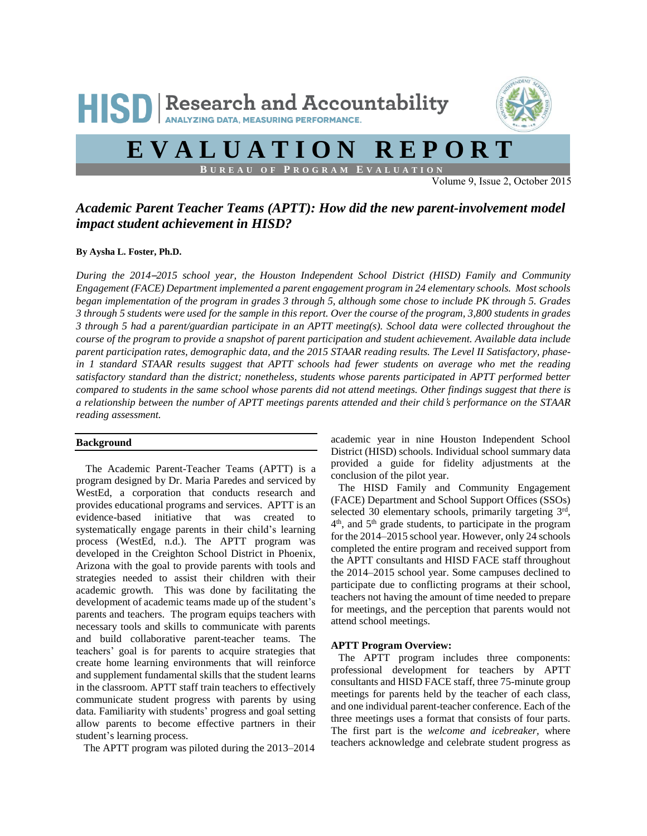

# **E V A L U A T I O N R E P O R T**

**B U R E A U O F P R O G R A M E V A L U A T I O N**

Volume 9, Issue 2, October 2015

# *Academic Parent Teacher Teams (APTT): How did the new parent-involvement model impact student achievement in HISD?*

## **By Aysha L. Foster, Ph.D.**

*During the 2014*–*2015 school year, the Houston Independent School District (HISD) Family and Community Engagement (FACE) Department implemented a parent engagement program in 24 elementary schools. Most schools began implementation of the program in grades 3 through 5, although some chose to include PK through 5. Grades 3 through 5 students were used for the sample in this report. Over the course of the program, 3,800 students in grades 3 through 5 had a parent/guardian participate in an APTT meeting(s). School data were collected throughout the course of the program to provide a snapshot of parent participation and student achievement. Available data include parent participation rates, demographic data, and the 2015 STAAR reading results. The Level II Satisfactory, phasein 1 standard STAAR results suggest that APTT schools had fewer students on average who met the reading satisfactory standard than the district; nonetheless, students whose parents participated in APTT performed better compared to students in the same school whose parents did not attend meetings. Other findings suggest that there is a relationship between the number of APTT meetings parents attended and their child*'*s performance on the STAAR reading assessment.*

#### **Background**

The Academic Parent-Teacher Teams (APTT) is a program designed by Dr. Maria Paredes and serviced by WestEd, a corporation that conducts research and provides educational programs and services. APTT is an evidence-based initiative that was created to systematically engage parents in their child's learning process (WestEd, n.d.). The APTT program was developed in the Creighton School District in Phoenix, Arizona with the goal to provide parents with tools and strategies needed to assist their children with their academic growth. This was done by facilitating the development of academic teams made up of the student's parents and teachers. The program equips teachers with necessary tools and skills to communicate with parents and build collaborative parent-teacher teams. The teachers' goal is for parents to acquire strategies that create home learning environments that will reinforce and supplement fundamental skills that the student learns in the classroom. APTT staff train teachers to effectively communicate student progress with parents by using data. Familiarity with students' progress and goal setting allow parents to become effective partners in their student's learning process.

The APTT program was piloted during the 2013–2014

academic year in nine Houston Independent School District (HISD) schools. Individual school summary data provided a guide for fidelity adjustments at the conclusion of the pilot year.

 The HISD Family and Community Engagement (FACE) Department and School Support Offices (SSOs) selected 30 elementary schools, primarily targeting 3rd, 4<sup>th</sup>, and 5<sup>th</sup> grade students, to participate in the program for the 2014–2015 school year. However, only 24 schools completed the entire program and received support from the APTT consultants and HISD FACE staff throughout the 2014–2015 school year. Some campuses declined to participate due to conflicting programs at their school, teachers not having the amount of time needed to prepare for meetings, and the perception that parents would not attend school meetings.

## **APTT Program Overview:**

The APTT program includes three components: professional development for teachers by APTT consultants and HISD FACE staff, three 75-minute group meetings for parents held by the teacher of each class, and one individual parent-teacher conference. Each of the three meetings uses a format that consists of four parts. The first part is the *welcome and icebreaker,* where teachers acknowledge and celebrate student progress as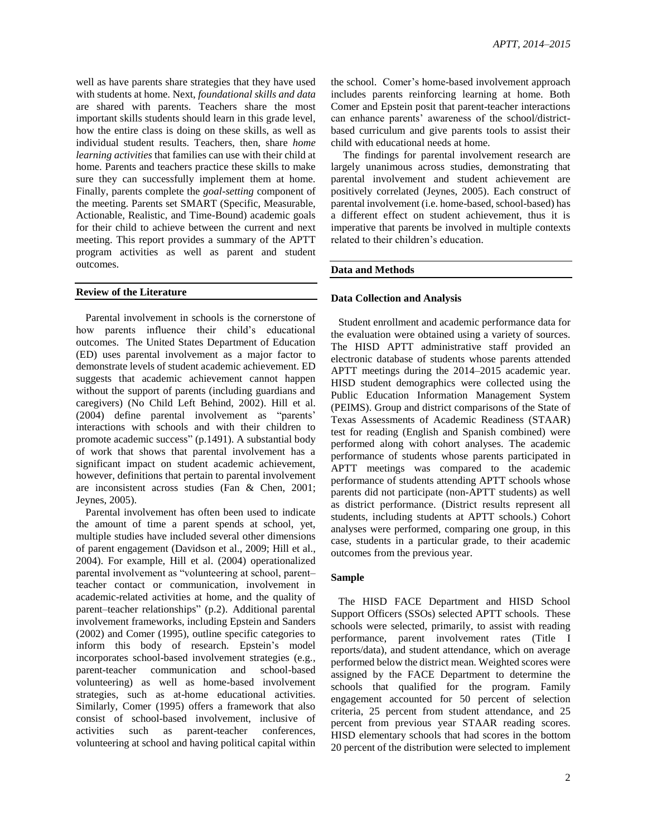well as have parents share strategies that they have used with students at home. Next, *foundational skills and data* are shared with parents. Teachers share the most important skills students should learn in this grade level, how the entire class is doing on these skills, as well as individual student results. Teachers, then, share *home learning activities* that families can use with their child at home. Parents and teachers practice these skills to make sure they can successfully implement them at home. Finally, parents complete the *goal-setting* component of the meeting. Parents set SMART (Specific, Measurable, Actionable, Realistic, and Time-Bound) academic goals for their child to achieve between the current and next meeting. This report provides a summary of the APTT program activities as well as parent and student outcomes.

#### **Review of the Literature**

Parental involvement in schools is the cornerstone of how parents influence their child's educational outcomes. The United States Department of Education (ED) uses parental involvement as a major factor to demonstrate levels of student academic achievement. ED suggests that academic achievement cannot happen without the support of parents (including guardians and caregivers) (No Child Left Behind, 2002). Hill et al. (2004) define parental involvement as "parents' interactions with schools and with their children to promote academic success" (p.1491). A substantial body of work that shows that parental involvement has a significant impact on student academic achievement, however, definitions that pertain to parental involvement are inconsistent across studies (Fan & Chen, 2001; Jeynes, 2005).

Parental involvement has often been used to indicate the amount of time a parent spends at school, yet, multiple studies have included several other dimensions of parent engagement (Davidson et al., 2009; Hill et al., 2004). For example, Hill et al. (2004) operationalized parental involvement as "volunteering at school, parent– teacher contact or communication, involvement in academic-related activities at home, and the quality of parent–teacher relationships" (p.2). Additional parental involvement frameworks, including Epstein and Sanders (2002) and Comer (1995), outline specific categories to inform this body of research. Epstein's model incorporates school-based involvement strategies (e.g., parent-teacher communication and school-based volunteering) as well as home-based involvement strategies, such as at-home educational activities. Similarly, Comer (1995) offers a framework that also consist of school-based involvement, inclusive of activities such as parent-teacher conferences, volunteering at school and having political capital within

the school. Comer's home-based involvement approach includes parents reinforcing learning at home. Both Comer and Epstein posit that parent-teacher interactions can enhance parents' awareness of the school/districtbased curriculum and give parents tools to assist their child with educational needs at home.

The findings for parental involvement research are largely unanimous across studies, demonstrating that parental involvement and student achievement are positively correlated (Jeynes, 2005). Each construct of parental involvement (i.e. home-based, school-based) has a different effect on student achievement, thus it is imperative that parents be involved in multiple contexts related to their children's education.

#### **Data and Methods**

#### **Data Collection and Analysis**

Student enrollment and academic performance data for the evaluation were obtained using a variety of sources. The HISD APTT administrative staff provided an electronic database of students whose parents attended APTT meetings during the 2014–2015 academic year. HISD student demographics were collected using the Public Education Information Management System (PEIMS). Group and district comparisons of the State of Texas Assessments of Academic Readiness (STAAR) test for reading (English and Spanish combined) were performed along with cohort analyses. The academic performance of students whose parents participated in APTT meetings was compared to the academic performance of students attending APTT schools whose parents did not participate (non-APTT students) as well as district performance. (District results represent all students, including students at APTT schools.) Cohort analyses were performed, comparing one group, in this case, students in a particular grade, to their academic outcomes from the previous year.

## **Sample**

The HISD FACE Department and HISD School Support Officers (SSOs) selected APTT schools. These schools were selected, primarily, to assist with reading performance, parent involvement rates (Title I reports/data), and student attendance, which on average performed below the district mean. Weighted scores were assigned by the FACE Department to determine the schools that qualified for the program. Family engagement accounted for 50 percent of selection criteria, 25 percent from student attendance, and 25 percent from previous year STAAR reading scores. HISD elementary schools that had scores in the bottom 20 percent of the distribution were selected to implement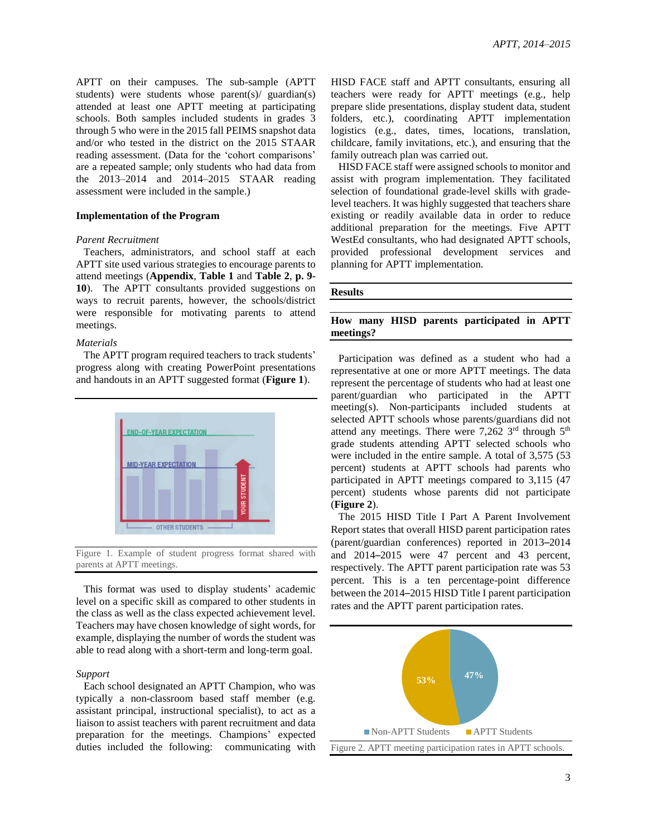APTT on their campuses. The sub-sample (APTT students) were students whose parent(s)/ guardian(s) attended at least one APTT meeting at participating schools. Both samples included students in grades 3 through 5 who were in the 2015 fall PEIMS snapshot data and/or who tested in the district on the 2015 STAAR reading assessment. (Data for the 'cohort comparisons' are a repeated sample; only students who had data from the 2013–2014 and 2014–2015 STAAR reading assessment were included in the sample.)

#### **Implementation of the Program**

#### *Parent Recruitment*

Teachers, administrators, and school staff at each APTT site used various strategies to encourage parents to attend meetings (**Appendix**, **Table 1** and **Table 2**, **p. 9- 10**). The APTT consultants provided suggestions on ways to recruit parents, however, the schools/district were responsible for motivating parents to attend meetings.

#### *Materials*

The APTT program required teachers to track students' progress along with creating PowerPoint presentations and handouts in an APTT suggested format (**Figure 1**).



Figure 1. Example of student progress format shared with parents at APTT meetings.

This format was used to display students' academic level on a specific skill as compared to other students in the class as well as the class expected achievement level. Teachers may have chosen knowledge of sight words, for example, displaying the number of words the student was able to read along with a short-term and long-term goal.

#### *Support*

Each school designated an APTT Champion, who was typically a non-classroom based staff member (e.g. assistant principal, instructional specialist), to act as a liaison to assist teachers with parent recruitment and data preparation for the meetings. Champions' expected duties included the following: communicating with HISD FACE staff and APTT consultants, ensuring all teachers were ready for APTT meetings (e.g., help prepare slide presentations, display student data, student folders, etc.), coordinating APTT implementation logistics (e.g., dates, times, locations, translation, childcare, family invitations, etc.), and ensuring that the family outreach plan was carried out.

HISD FACE staff were assigned schools to monitor and assist with program implementation. They facilitated selection of foundational grade-level skills with gradelevel teachers. It was highly suggested that teachers share existing or readily available data in order to reduce additional preparation for the meetings. Five APTT WestEd consultants, who had designated APTT schools, provided professional development services and planning for APTT implementation.

#### **Results**

# **How many HISD parents participated in APTT meetings?**

Participation was defined as a student who had a representative at one or more APTT meetings. The data represent the percentage of students who had at least one parent/guardian who participated in the APTT meeting(s). Non-participants included students at selected APTT schools whose parents/guardians did not attend any meetings. There were 7,262  $3<sup>rd</sup>$  through  $5<sup>th</sup>$ grade students attending APTT selected schools who were included in the entire sample. A total of 3,575 (53 percent) students at APTT schools had parents who participated in APTT meetings compared to 3,115 (47 percent) students whose parents did not participate (**Figure 2**).

The 2015 HISD Title I Part A Parent Involvement Report states that overall HISD parent participation rates (parent/guardian conferences) reported in 2013–2014 and 2014–2015 were 47 percent and 43 percent, respectively. The APTT parent participation rate was 53 percent. This is a ten percentage-point difference between the 2014–2015 HISD Title I parent participation rates and the APTT parent participation rates.

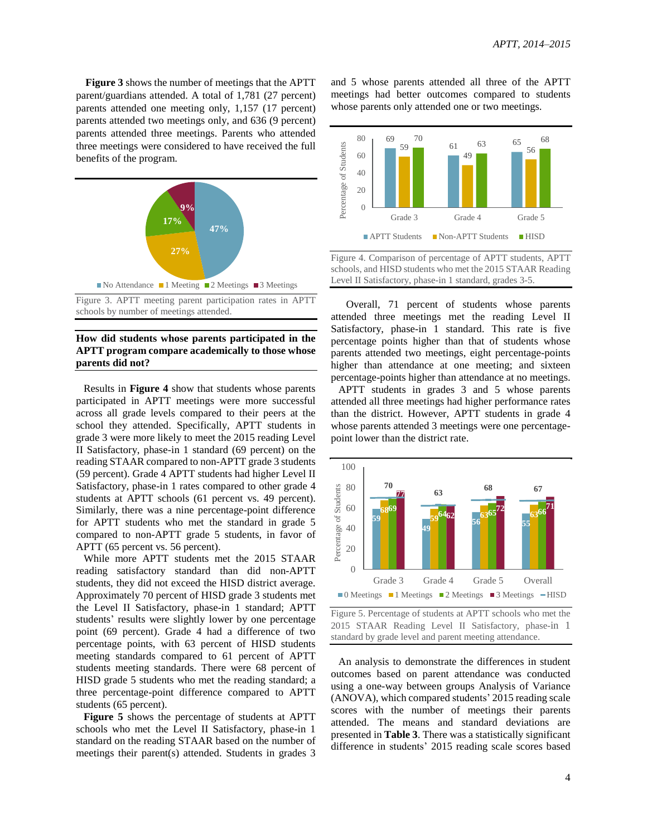**Figure 3** shows the number of meetings that the APTT parent/guardians attended. A total of 1,781 (27 percent) parents attended one meeting only, 1,157 (17 percent) parents attended two meetings only, and 636 (9 percent) parents attended three meetings. Parents who attended three meetings were considered to have received the full benefits of the program.



Figure 3. APTT meeting parent participation rates in APTT schools by number of meetings attended.

# **How did students whose parents participated in the APTT program compare academically to those whose parents did not?**

Results in **Figure 4** show that students whose parents participated in APTT meetings were more successful across all grade levels compared to their peers at the school they attended. Specifically, APTT students in grade 3 were more likely to meet the 2015 reading Level II Satisfactory, phase-in 1 standard (69 percent) on the reading STAAR compared to non-APTT grade 3 students (59 percent). Grade 4 APTT students had higher Level II Satisfactory, phase-in 1 rates compared to other grade 4 students at APTT schools (61 percent vs. 49 percent). Similarly, there was a nine percentage-point difference for APTT students who met the standard in grade 5 compared to non-APTT grade 5 students, in favor of APTT (65 percent vs. 56 percent).

While more APTT students met the 2015 STAAR reading satisfactory standard than did non-APTT students, they did not exceed the HISD district average. Approximately 70 percent of HISD grade 3 students met the Level II Satisfactory, phase-in 1 standard; APTT students' results were slightly lower by one percentage point (69 percent). Grade 4 had a difference of two percentage points, with 63 percent of HISD students meeting standards compared to 61 percent of APTT students meeting standards. There were 68 percent of HISD grade 5 students who met the reading standard; a three percentage-point difference compared to APTT students (65 percent).

**Figure 5** shows the percentage of students at APTT schools who met the Level II Satisfactory, phase-in 1 standard on the reading STAAR based on the number of meetings their parent(s) attended. Students in grades 3

and 5 whose parents attended all three of the APTT meetings had better outcomes compared to students whose parents only attended one or two meetings.



Figure 4. Comparison of percentage of APTT students, APTT schools, and HISD students who met the 2015 STAAR Reading Level II Satisfactory, phase-in 1 standard, grades 3-5.

Overall, 71 percent of students whose parents attended three meetings met the reading Level II Satisfactory, phase-in 1 standard. This rate is five percentage points higher than that of students whose parents attended two meetings, eight percentage-points higher than attendance at one meeting; and sixteen percentage-points higher than attendance at no meetings.

APTT students in grades 3 and 5 whose parents attended all three meetings had higher performance rates than the district. However, APTT students in grade 4 whose parents attended 3 meetings were one percentagepoint lower than the district rate.



Figure 5. Percentage of students at APTT schools who met the 2015 STAAR Reading Level II Satisfactory, phase-in 1 standard by grade level and parent meeting attendance.

An analysis to demonstrate the differences in student outcomes based on parent attendance was conducted using a one-way between groups Analysis of Variance (ANOVA), which compared students' 2015 reading scale scores with the number of meetings their parents attended. The means and standard deviations are presented in **Table 3**. There was a statistically significant difference in students' 2015 reading scale scores based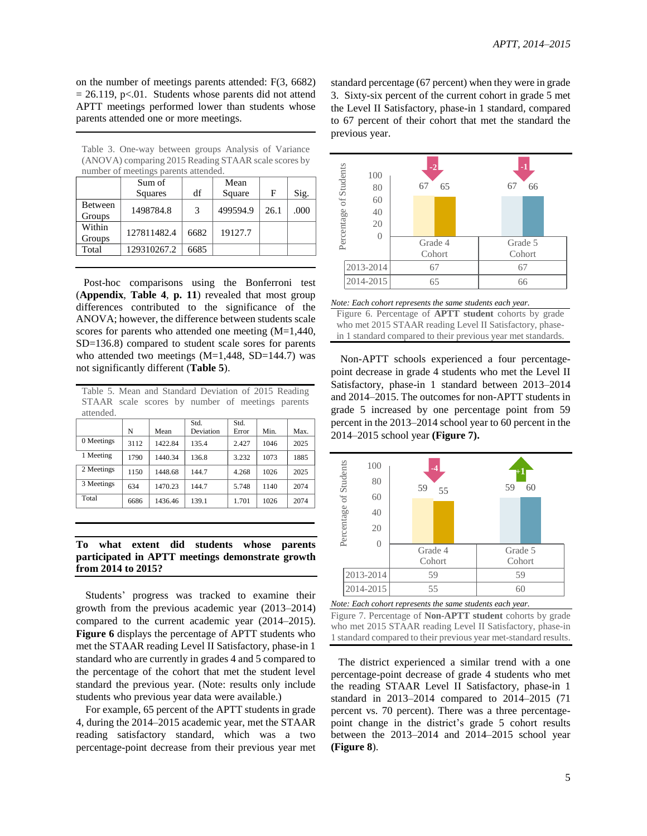on the number of meetings parents attended: F(3, 6682)  $= 26.119$ , p<.01. Students whose parents did not attend APTT meetings performed lower than students whose parents attended one or more meetings.

Table 3. One-way between groups Analysis of Variance (ANOVA) comparing 2015 Reading STAAR scale scores by number of meetings parents attended.

| Sum of      |                          | Mean      |                     |      |
|-------------|--------------------------|-----------|---------------------|------|
| Squares     | df                       | Square    | F                   | Sig. |
|             |                          |           |                     | .000 |
|             |                          |           |                     |      |
|             |                          |           |                     |      |
|             |                          |           |                     |      |
| 129310267.2 | 6685                     |           |                     |      |
|             | 1498784.8<br>127811482.4 | 3<br>6682 | 499594.9<br>19127.7 | 26.1 |

Post-hoc comparisons using the Bonferroni test (**Appendix**, **Table 4**, **p. 11**) revealed that most group differences contributed to the significance of the ANOVA; however, the difference between students scale scores for parents who attended one meeting (M=1,440, SD=136.8) compared to student scale sores for parents who attended two meetings  $(M=1,448, SD=144.7)$  was not significantly different (**Table 5**).

Table 5. Mean and Standard Deviation of 2015 Reading STAAR scale scores by number of meetings parents attended.

|            | N    | Mean    | Std.<br>Deviation | Std.<br>Error | Min. | Max. |
|------------|------|---------|-------------------|---------------|------|------|
| 0 Meetings | 3112 | 1422.84 | 135.4             | 2.427         | 1046 | 2025 |
| 1 Meeting  | 1790 | 1440.34 | 136.8             | 3.232         | 1073 | 1885 |
| 2 Meetings | 1150 | 1448.68 | 144.7             | 4.268         | 1026 | 2025 |
| 3 Meetings | 634  | 1470.23 | 144.7             | 5.748         | 1140 | 2074 |
| Total      | 6686 | 1436.46 | 139.1             | 1.701         | 1026 | 2074 |

**To what extent did students whose parents participated in APTT meetings demonstrate growth from 2014 to 2015?**

Students' progress was tracked to examine their growth from the previous academic year (2013–2014) compared to the current academic year (2014–2015). **Figure 6** displays the percentage of APTT students who met the STAAR reading Level II Satisfactory, phase-in 1 standard who are currently in grades 4 and 5 compared to the percentage of the cohort that met the student level standard the previous year. (Note: results only include students who previous year data were available.)

For example, 65 percent of the APTT students in grade 4, during the 2014–2015 academic year, met the STAAR reading satisfactory standard, which was a two percentage-point decrease from their previous year met standard percentage (67 percent) when they were in grade 3. Sixty-six percent of the current cohort in grade 5 met the Level II Satisfactory, phase-in 1 standard, compared to 67 percent of their cohort that met the standard the previous year.



*Note: Each cohort represents the same students each year.* Figure 6. Percentage of **APTT student** cohorts by grade who met 2015 STAAR reading Level II Satisfactory, phasein 1 standard compared to their previous year met standards.

Non-APTT schools experienced a four percentagepoint decrease in grade 4 students who met the Level II Satisfactory, phase-in 1 standard between 2013–2014 and 2014–2015. The outcomes for non-APTT students in grade 5 increased by one percentage point from 59 percent in the 2013–2014 school year to 60 percent in the 2014–2015 school year **(Figure 7).**



*Note: Each cohort represents the same students each year.*

The district experienced a similar trend with a one percentage-point decrease of grade 4 students who met the reading STAAR Level II Satisfactory, phase-in 1 standard in 2013–2014 compared to 2014–2015 (71 percent vs. 70 percent). There was a three percentagepoint change in the district's grade 5 cohort results between the 2013–2014 and 2014–2015 school year **(Figure 8**).

Figure 7. Percentage of **Non-APTT student** cohorts by grade who met 2015 STAAR reading Level II Satisfactory, phase-in 1 standard compared to their previous year met-standard results.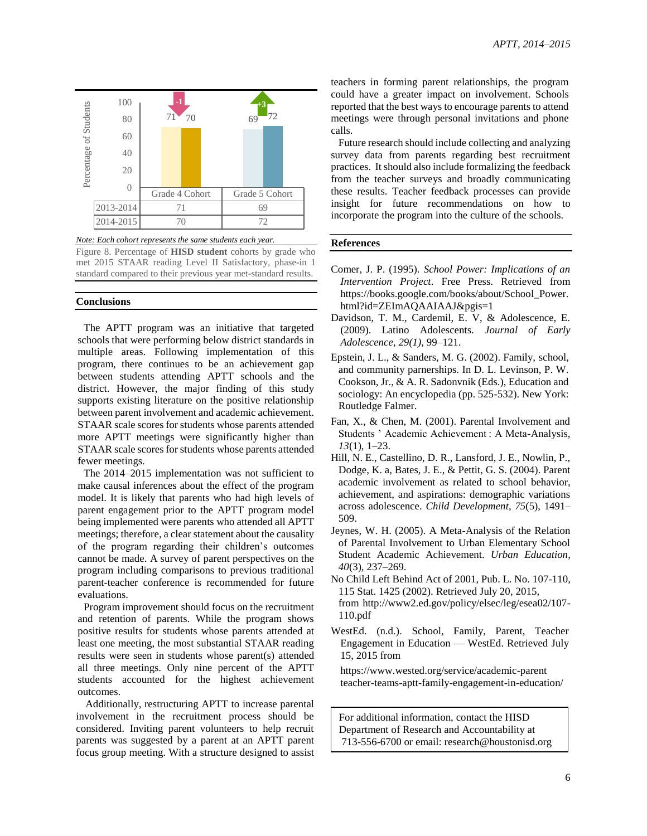

*Note: Each cohort represents the same students each year.*

Figure 8. Percentage of **HISD student** cohorts by grade who met 2015 STAAR reading Level II Satisfactory, phase-in 1 standard compared to their previous year met-standard results.

## **Conclusions**

The APTT program was an initiative that targeted schools that were performing below district standards in multiple areas. Following implementation of this program, there continues to be an achievement gap between students attending APTT schools and the district. However, the major finding of this study supports existing literature on the positive relationship between parent involvement and academic achievement. STAAR scale scores for students whose parents attended more APTT meetings were significantly higher than STAAR scale scores for students whose parents attended fewer meetings.

The 2014–2015 implementation was not sufficient to make causal inferences about the effect of the program model. It is likely that parents who had high levels of parent engagement prior to the APTT program model being implemented were parents who attended all APTT meetings; therefore, a clear statement about the causality of the program regarding their children's outcomes cannot be made. A survey of parent perspectives on the program including comparisons to previous traditional parent-teacher conference is recommended for future evaluations.

Program improvement should focus on the recruitment and retention of parents. While the program shows positive results for students whose parents attended at least one meeting, the most substantial STAAR reading results were seen in students whose parent(s) attended all three meetings. Only nine percent of the APTT students accounted for the highest achievement outcomes.

Additionally, restructuring APTT to increase parental involvement in the recruitment process should be considered. Inviting parent volunteers to help recruit parents was suggested by a parent at an APTT parent focus group meeting. With a structure designed to assist

teachers in forming parent relationships, the program could have a greater impact on involvement. Schools reported that the best ways to encourage parents to attend meetings were through personal invitations and phone calls.

Future research should include collecting and analyzing survey data from parents regarding best recruitment practices. Itshould also include formalizing the feedback from the teacher surveys and broadly communicating these results. Teacher feedback processes can provide insight for future recommendations on how to incorporate the program into the culture of the schools.

#### **References**

- Comer, J. P. (1995). *School Power: Implications of an Intervention Project*. Free Press. Retrieved from https://books.google.com/books/about/School\_Power. html?id=ZEImAQAAIAAJ&pgis=1
- Davidson, T. M., Cardemil, E. V, & Adolescence, E. (2009). Latino Adolescents. *Journal of Early Adolescence*, *29(1)*, 99–121.
- Epstein, J. L., & Sanders, M. G. (2002). Family, school, and community parnerships. In D. L. Levinson, P. W. Cookson, Jr., & A. R. Sadonvnik (Eds.), Education and sociology: An encyclopedia (pp. 525-532). New York: Routledge Falmer.
- Fan, X., & Chen, M. (2001). Parental Involvement and Students ' Academic Achievement : A Meta-Analysis, *13*(1), 1–23.
- Hill, N. E., Castellino, D. R., Lansford, J. E., Nowlin, P., Dodge, K. a, Bates, J. E., & Pettit, G. S. (2004). Parent academic involvement as related to school behavior, achievement, and aspirations: demographic variations across adolescence. *Child Development*, *75*(5), 1491– 509.
- Jeynes, W. H. (2005). A Meta-Analysis of the Relation of Parental Involvement to Urban Elementary School Student Academic Achievement. *Urban Education*, *40*(3), 237–269.
- No Child Left Behind Act of 2001, Pub. L. No. 107-110, 115 Stat. 1425 (2002). Retrieved July 20, 2015, from http://www2.ed.gov/policy/elsec/leg/esea02/107- 110.pdf
- WestEd. (n.d.). School, Family, Parent, Teacher Engagement in Education — WestEd. Retrieved July 15, 2015 from

https://www.wested.org/service/academic-parent teacher-teams-aptt-family-engagement-in-education/

For additional information, contact the HISD Department of Research and Accountability at 713-556-6700 or email: research@houstonisd.org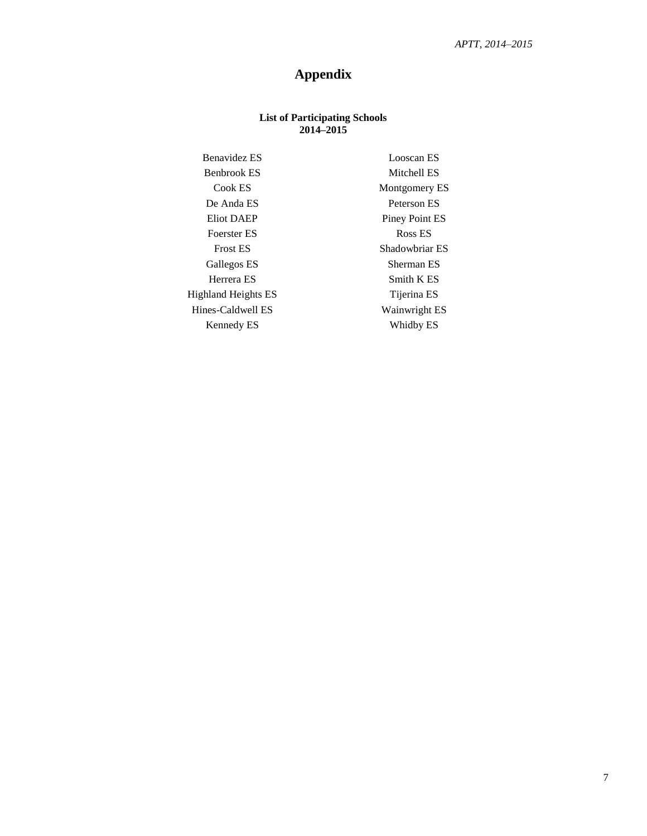# **Appendix**

# **List of Participating Schools 2014–2015**

Benavidez ES Looscan ES Benbrook ES Mitchell ES Cook ES Montgomery ES De Anda ES Peterson ES Eliot DAEP Piney Point ES Foerster ES Ross ES Frost ES Shadowbriar ES Gallegos ES Sherman ES Herrera ES Smith K ES Highland Heights ES Tijerina ES Hines-Caldwell ES Wainwright ES Kennedy ES Whidby ES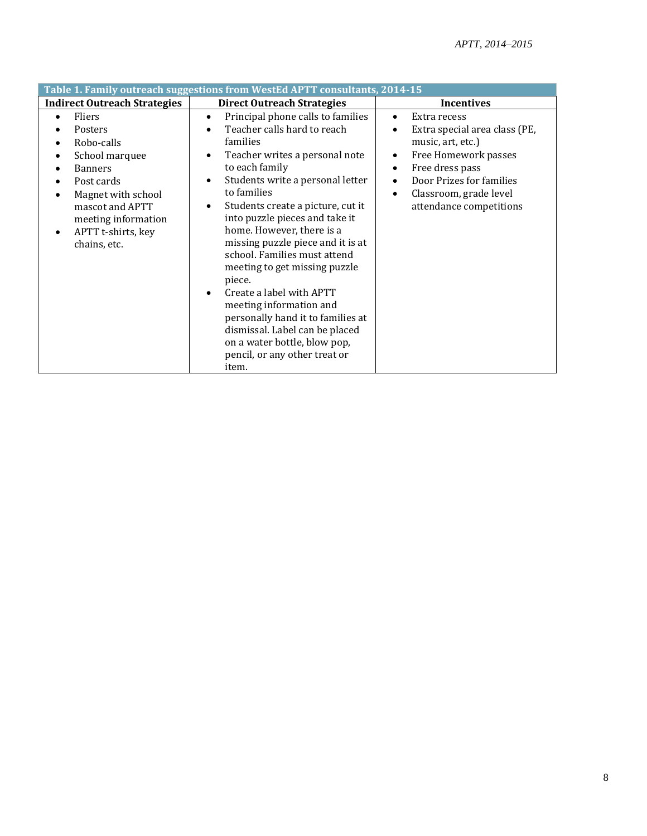| Table 1. Family outreach suggestions from WestEd APTT consultants, 2014-15                                                                                                                                                                                            |                                                                                                                                                                                                                                                                                                                                                                                                                                                                                                                                                                                                                                                             |                                                                                                                                                                                                                                                              |  |  |  |
|-----------------------------------------------------------------------------------------------------------------------------------------------------------------------------------------------------------------------------------------------------------------------|-------------------------------------------------------------------------------------------------------------------------------------------------------------------------------------------------------------------------------------------------------------------------------------------------------------------------------------------------------------------------------------------------------------------------------------------------------------------------------------------------------------------------------------------------------------------------------------------------------------------------------------------------------------|--------------------------------------------------------------------------------------------------------------------------------------------------------------------------------------------------------------------------------------------------------------|--|--|--|
| <b>Indirect Outreach Strategies</b>                                                                                                                                                                                                                                   | <b>Direct Outreach Strategies</b>                                                                                                                                                                                                                                                                                                                                                                                                                                                                                                                                                                                                                           | <b>Incentives</b>                                                                                                                                                                                                                                            |  |  |  |
| Fliers<br>$\bullet$<br>Posters<br>Robo-calls<br>$\bullet$<br>School marquee<br>$\bullet$<br><b>Banners</b><br>$\bullet$<br>Post cards<br>Magnet with school<br>$\bullet$<br>mascot and APTT<br>meeting information<br>APTT t-shirts, key<br>$\bullet$<br>chains, etc. | Principal phone calls to families<br>$\bullet$<br>Teacher calls hard to reach<br>families<br>Teacher writes a personal note<br>٠<br>to each family<br>Students write a personal letter<br>$\bullet$<br>to families<br>Students create a picture, cut it<br>$\bullet$<br>into puzzle pieces and take it<br>home. However, there is a<br>missing puzzle piece and it is at<br>school. Families must attend<br>meeting to get missing puzzle<br>piece.<br>Create a label with APTT<br>meeting information and<br>personally hand it to families at<br>dismissal. Label can be placed<br>on a water bottle, blow pop,<br>pencil, or any other treat or<br>item. | Extra recess<br>$\bullet$<br>Extra special area class (PE,<br>$\bullet$<br>music, art, etc.)<br>Free Homework passes<br>٠<br>Free dress pass<br>٠<br>Door Prizes for families<br>$\bullet$<br>Classroom, grade level<br>$\bullet$<br>attendance competitions |  |  |  |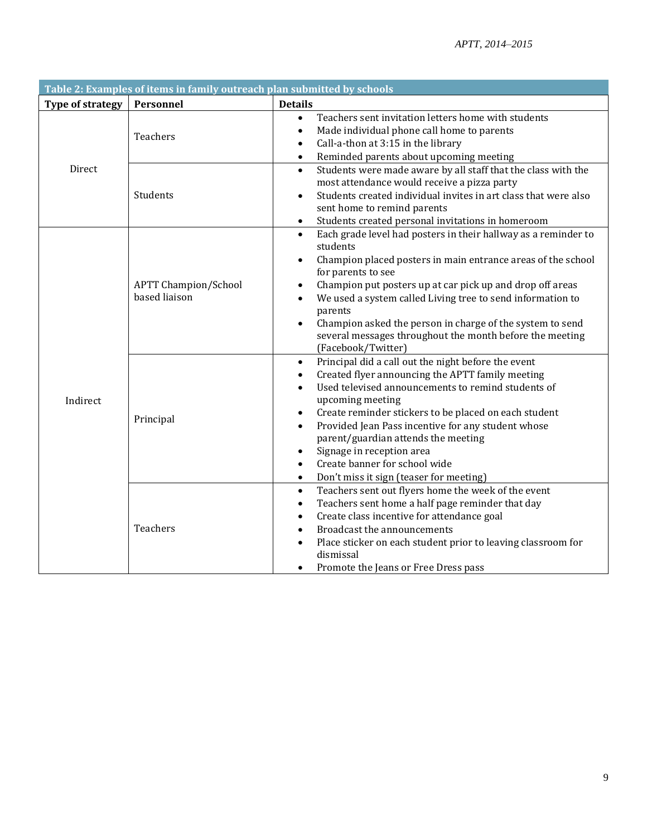| Table 2: Examples of items in family outreach plan submitted by schools |                                              |                                                                                                                                                                                                                                                                                                                                                                                                                                                                                                                                                          |  |  |
|-------------------------------------------------------------------------|----------------------------------------------|----------------------------------------------------------------------------------------------------------------------------------------------------------------------------------------------------------------------------------------------------------------------------------------------------------------------------------------------------------------------------------------------------------------------------------------------------------------------------------------------------------------------------------------------------------|--|--|
| Type of strategy                                                        | Personnel                                    | <b>Details</b>                                                                                                                                                                                                                                                                                                                                                                                                                                                                                                                                           |  |  |
| Direct                                                                  | Teachers                                     | Teachers sent invitation letters home with students<br>$\bullet$<br>Made individual phone call home to parents<br>$\bullet$<br>Call-a-thon at 3:15 in the library<br>$\bullet$<br>Reminded parents about upcoming meeting<br>$\bullet$                                                                                                                                                                                                                                                                                                                   |  |  |
|                                                                         | Students                                     | Students were made aware by all staff that the class with the<br>$\bullet$<br>most attendance would receive a pizza party<br>Students created individual invites in art class that were also<br>$\bullet$<br>sent home to remind parents<br>Students created personal invitations in homeroom<br>$\bullet$                                                                                                                                                                                                                                               |  |  |
| Indirect                                                                | <b>APTT Champion/School</b><br>based liaison | Each grade level had posters in their hallway as a reminder to<br>$\bullet$<br>students<br>Champion placed posters in main entrance areas of the school<br>$\bullet$<br>for parents to see<br>Champion put posters up at car pick up and drop off areas<br>٠<br>We used a system called Living tree to send information to<br>$\bullet$<br>parents<br>Champion asked the person in charge of the system to send<br>several messages throughout the month before the meeting<br>(Facebook/Twitter)                                                        |  |  |
|                                                                         | Principal                                    | Principal did a call out the night before the event<br>$\bullet$<br>Created flyer announcing the APTT family meeting<br>$\bullet$<br>Used televised announcements to remind students of<br>$\bullet$<br>upcoming meeting<br>Create reminder stickers to be placed on each student<br>$\bullet$<br>Provided Jean Pass incentive for any student whose<br>$\bullet$<br>parent/guardian attends the meeting<br>Signage in reception area<br>$\bullet$<br>Create banner for school wide<br>$\bullet$<br>Don't miss it sign (teaser for meeting)<br>$\bullet$ |  |  |
|                                                                         | Teachers                                     | Teachers sent out flyers home the week of the event<br>$\bullet$<br>Teachers sent home a half page reminder that day<br>$\bullet$<br>Create class incentive for attendance goal<br>٠<br>Broadcast the announcements<br>Place sticker on each student prior to leaving classroom for<br>dismissal<br>Promote the Jeans or Free Dress pass<br>٠                                                                                                                                                                                                            |  |  |